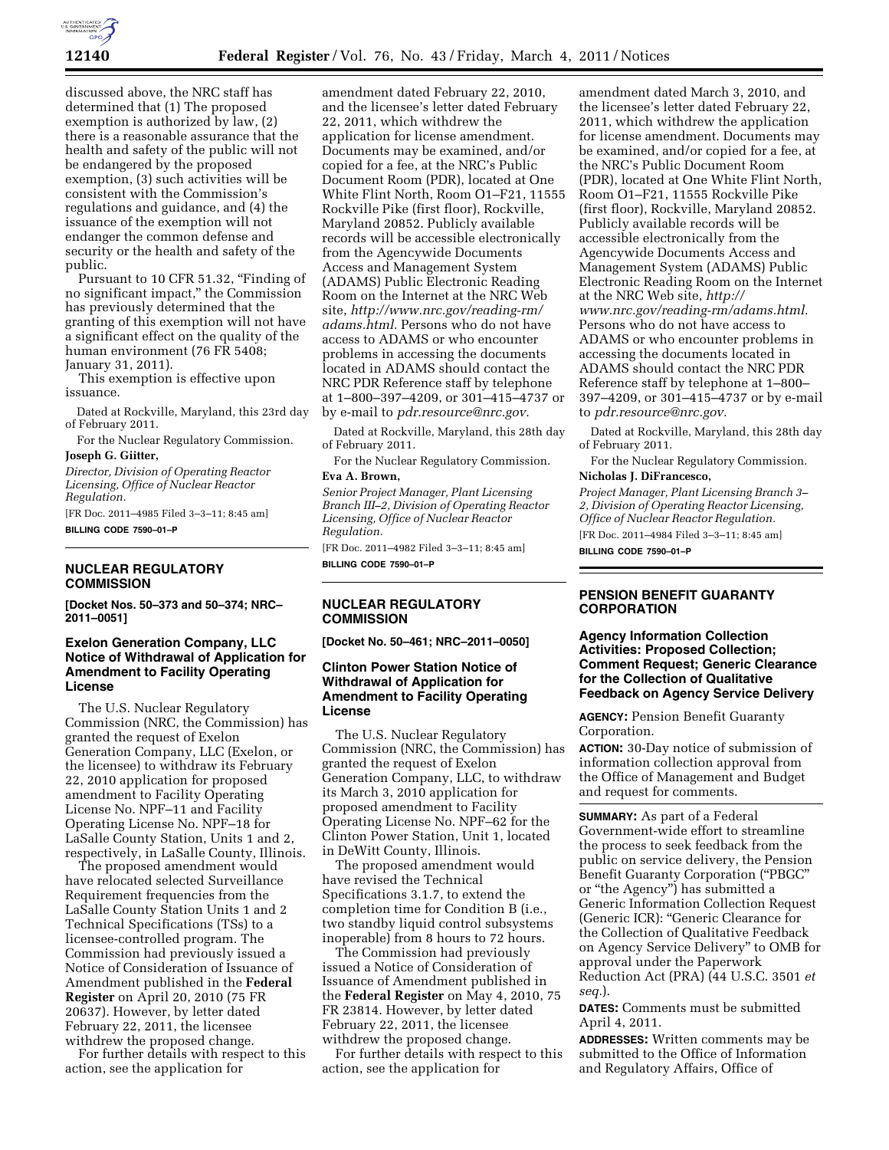

discussed above, the NRC staff has determined that (1) The proposed exemption is authorized by law, (2) there is a reasonable assurance that the health and safety of the public will not be endangered by the proposed exemption, (3) such activities will be consistent with the Commission's regulations and guidance, and (4) the issuance of the exemption will not endanger the common defense and security or the health and safety of the public.

Pursuant to 10 CFR 51.32, "Finding of no significant impact,'' the Commission has previously determined that the granting of this exemption will not have a significant effect on the quality of the human environment (76 FR 5408; January 31, 2011).

This exemption is effective upon issuance.

Dated at Rockville, Maryland, this 23rd day of February 2011.

For the Nuclear Regulatory Commission. **Joseph G. Giitter,** 

*Director, Division of Operating Reactor Licensing, Office of Nuclear Reactor Regulation.* 

[FR Doc. 2011–4985 Filed 3–3–11; 8:45 am] **BILLING CODE 7590–01–P** 

## **NUCLEAR REGULATORY COMMISSION**

**[Docket Nos. 50–373 and 50–374; NRC– 2011–0051]** 

# **Exelon Generation Company, LLC Notice of Withdrawal of Application for Amendment to Facility Operating License**

The U.S. Nuclear Regulatory Commission (NRC, the Commission) has granted the request of Exelon Generation Company, LLC (Exelon, or the licensee) to withdraw its February 22, 2010 application for proposed amendment to Facility Operating License No. NPF–11 and Facility Operating License No. NPF–18 for LaSalle County Station, Units 1 and 2, respectively, in LaSalle County, Illinois.

The proposed amendment would have relocated selected Surveillance Requirement frequencies from the LaSalle County Station Units 1 and 2 Technical Specifications (TSs) to a licensee-controlled program. The Commission had previously issued a Notice of Consideration of Issuance of Amendment published in the **Federal Register** on April 20, 2010 (75 FR 20637). However, by letter dated February 22, 2011, the licensee withdrew the proposed change.

For further details with respect to this action, see the application for

amendment dated February 22, 2010, and the licensee's letter dated February 22, 2011, which withdrew the application for license amendment. Documents may be examined, and/or copied for a fee, at the NRC's Public Document Room (PDR), located at One White Flint North, Room O1–F21, 11555 Rockville Pike (first floor), Rockville, Maryland 20852. Publicly available records will be accessible electronically from the Agencywide Documents Access and Management System (ADAMS) Public Electronic Reading Room on the Internet at the NRC Web site, *[http://www.nrc.gov/reading-rm/](http://www.nrc.gov/reading-rm/adams.html)  [adams.html.](http://www.nrc.gov/reading-rm/adams.html)* Persons who do not have access to ADAMS or who encounter problems in accessing the documents located in ADAMS should contact the NRC PDR Reference staff by telephone at 1–800–397–4209, or 301–415–4737 or by e-mail to *[pdr.resource@nrc.gov.](mailto:pdr.resource@nrc.gov)* 

Dated at Rockville, Maryland, this 28th day of February 2011.

For the Nuclear Regulatory Commission. **Eva A. Brown,** 

*Senior Project Manager, Plant Licensing Branch III–2, Division of Operating Reactor Licensing, Office of Nuclear Reactor Regulation.* 

[FR Doc. 2011–4982 Filed 3–3–11; 8:45 am] **BILLING CODE 7590–01–P** 

#### **NUCLEAR REGULATORY COMMISSION**

**[Docket No. 50–461; NRC–2011–0050]** 

# **Clinton Power Station Notice of Withdrawal of Application for Amendment to Facility Operating License**

The U.S. Nuclear Regulatory Commission (NRC, the Commission) has granted the request of Exelon Generation Company, LLC, to withdraw its March 3, 2010 application for proposed amendment to Facility Operating License No. NPF–62 for the Clinton Power Station, Unit 1, located in DeWitt County, Illinois.

The proposed amendment would have revised the Technical Specifications 3.1.7, to extend the completion time for Condition B (i.e., two standby liquid control subsystems inoperable) from 8 hours to 72 hours.

The Commission had previously issued a Notice of Consideration of Issuance of Amendment published in the **Federal Register** on May 4, 2010, 75 FR 23814. However, by letter dated February 22, 2011, the licensee withdrew the proposed change.

For further details with respect to this action, see the application for

amendment dated March 3, 2010, and the licensee's letter dated February 22, 2011, which withdrew the application for license amendment. Documents may be examined, and/or copied for a fee, at the NRC's Public Document Room (PDR), located at One White Flint North, Room O1–F21, 11555 Rockville Pike (first floor), Rockville, Maryland 20852. Publicly available records will be accessible electronically from the Agencywide Documents Access and Management System (ADAMS) Public Electronic Reading Room on the Internet at the NRC Web site, *[http://](http://www.nrc.gov/reading-rm/adams.html)  [www.nrc.gov/reading-rm/adams.html.](http://www.nrc.gov/reading-rm/adams.html)*  Persons who do not have access to ADAMS or who encounter problems in accessing the documents located in ADAMS should contact the NRC PDR Reference staff by telephone at 1–800– 397–4209, or 301–415–4737 or by e-mail to *[pdr.resource@nrc.gov.](mailto:pdr.resource@nrc.gov)* 

Dated at Rockville, Maryland, this 28th day of February 2011.

For the Nuclear Regulatory Commission. **Nicholas J. DiFrancesco,** 

*Project Manager, Plant Licensing Branch 3– 2, Division of Operating Reactor Licensing, Office of Nuclear Reactor Regulation.* 

[FR Doc. 2011–4984 Filed 3–3–11; 8:45 am] **BILLING CODE 7590–01–P** 

# **PENSION BENEFIT GUARANTY CORPORATION**

**Agency Information Collection Activities: Proposed Collection; Comment Request; Generic Clearance for the Collection of Qualitative Feedback on Agency Service Delivery** 

**AGENCY:** Pension Benefit Guaranty Corporation.

**ACTION:** 30-Day notice of submission of information collection approval from the Office of Management and Budget and request for comments.

**SUMMARY:** As part of a Federal Government-wide effort to streamline the process to seek feedback from the public on service delivery, the Pension Benefit Guaranty Corporation (''PBGC'' or ''the Agency'') has submitted a Generic Information Collection Request (Generic ICR): ''Generic Clearance for the Collection of Qualitative Feedback on Agency Service Delivery'' to OMB for approval under the Paperwork Reduction Act (PRA) (44 U.S.C. 3501 *et seq.*).

**DATES:** Comments must be submitted April 4, 2011.

**ADDRESSES:** Written comments may be submitted to the Office of Information and Regulatory Affairs, Office of